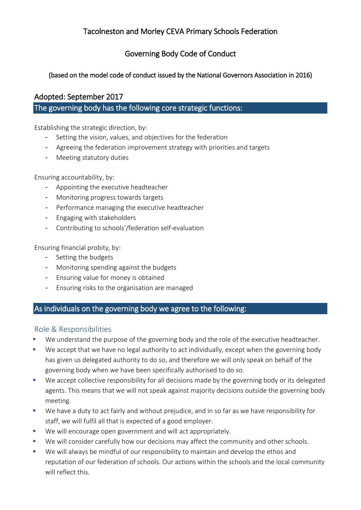# Tacolneston and Morley CEVA Primary Schools Federation

## Governing Body Code of Conduct

### (based on the model code of conduct issued by the National Governors Association in 2016)

### Adopted: September 2017

### The governing body has the following core strategic functions:

Establishing the strategic direction, by:

- Setting the vision, values, and objectives for the federation
- Agreeing the federation improvement strategy with priorities and targets
- Meeting statutory duties

Ensuring accountability, by:

- Appointing the executive headteacher
- Monitoring progress towards targets
- Performance managing the executive headteacher
- Engaging with stakeholders
- Contributing to schools'/federation self-evaluation

Ensuring financial probity, by:

- Setting the budgets
- Monitoring spending against the budgets
- Ensuring value for money is obtained
- Ensuring risks to the organisation are managed

### As individuals on the governing body we agree to the following:

#### Role & Responsibilities

- We understand the purpose of the governing body and the role of the executive headteacher.
- We accept that we have no legal authority to act individually, except when the governing body has given us delegated authority to do so, and therefore we will only speak on behalf of the governing body when we have been specifically authorised to do so.
- We accept collective responsibility for all decisions made by the governing body or its delegated agents. This means that we will not speak against majority decisions outside the governing body meeting.
- We have a duty to act fairly and without prejudice, and in so far as we have responsibility for staff, we will fulfil all that is expected of a good employer.
- We will encourage open government and will act appropriately.
- We will consider carefully how our decisions may affect the community and other schools.
- We will always be mindful of our responsibility to maintain and develop the ethos and reputation of our federation of schools. Our actions within the schools and the local community will reflect this.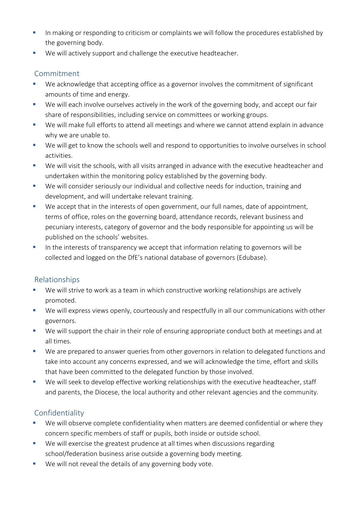- **E** In making or responding to criticism or complaints we will follow the procedures established by the governing body.
- We will actively support and challenge the executive headteacher.

## Commitment

- We acknowledge that accepting office as a governor involves the commitment of significant amounts of time and energy.
- We will each involve ourselves actively in the work of the governing body, and accept our fair share of responsibilities, including service on committees or working groups.
- We will make full efforts to attend all meetings and where we cannot attend explain in advance why we are unable to.
- We will get to know the schools well and respond to opportunities to involve ourselves in school activities.
- We will visit the schools, with all visits arranged in advance with the executive headteacher and undertaken within the monitoring policy established by the governing body.
- We will consider seriously our individual and collective needs for induction, training and development, and will undertake relevant training.
- We accept that in the interests of open government, our full names, date of appointment, terms of office, roles on the governing board, attendance records, relevant business and pecuniary interests, category of governor and the body responsible for appointing us will be published on the schools' websites.
- **EXTER** In the interests of transparency we accept that information relating to governors will be collected and logged on the DfE's national database of governors (Edubase).

## Relationships

- We will strive to work as a team in which constructive working relationships are actively promoted.
- We will express views openly, courteously and respectfully in all our communications with other governors.
- We will support the chair in their role of ensuring appropriate conduct both at meetings and at all times.
- We are prepared to answer queries from other governors in relation to delegated functions and take into account any concerns expressed, and we will acknowledge the time, effort and skills that have been committed to the delegated function by those involved.
- We will seek to develop effective working relationships with the executive headteacher, staff and parents, the Diocese, the local authority and other relevant agencies and the community.

# **Confidentiality**

- We will observe complete confidentiality when matters are deemed confidential or where they concern specific members of staff or pupils, both inside or outside school.
- We will exercise the greatest prudence at all times when discussions regarding school/federation business arise outside a governing body meeting.
- We will not reveal the details of any governing body vote.